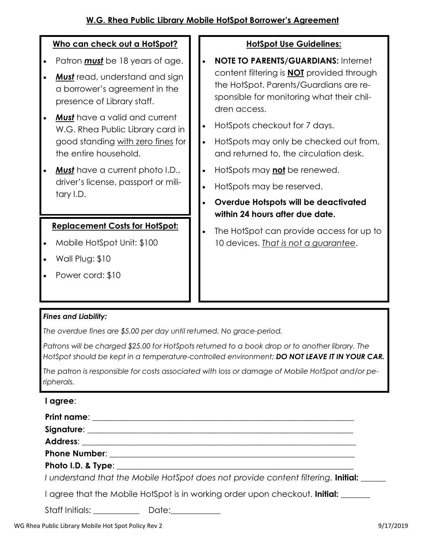# W.G. Rhea Public Library Mobile HotSpot Borrower's Agreement

# Who can check out a HotSpot?

- Patron **must** be 18 years of age.
- Must read, understand and sign a borrower's agreement in the presence of Library staff.
- Must have a valid and current W.G. Rhea Public Library card in good standing with zero fines for the entire household.
- Must have a current photo I.D., driver's license, passport or military I.D.

# Replacement Costs for HotSpot:

- · Mobile HotSpot Unit: \$100
- · Wall Plug: \$10
- · Power cord: \$10

#### HotSpot Use Guidelines:

- NOTE TO PARENTS/GUARDIANS: Internet content filtering is NOT provided through the HotSpot. Parents/Guardians are responsible for monitoring what their children access.
- · HotSpots checkout for 7 days.
- · HotSpots may only be checked out from, and returned to, the circulation desk.
- HotSpots may not be renewed.
- · HotSpots may be reserved.
- · Overdue Hotspots will be deactivated within 24 hours after due date.
- The HotSpot can provide access for up to 10 devices. That is not a guarantee.

# Fines and Liability:

The overdue fines are \$5.00 per day until returned. No grace-period.

Patrons will be charged \$25.00 for HotSpots returned to a book drop or to another library. The HotSpot should be kept in a temperature-controlled environment; DO NOT LEAVE IT IN YOUR CAR.

The patron is responsible for costs associated with loss or damage of Mobile HotSpot and/or peripherals.

# I agree:

|                 | I understand that the Mobile HotSpot does not provide content filtering. Initial:  |  |
|-----------------|------------------------------------------------------------------------------------|--|
|                 | I agree that the Mobile HotSpot is in working order upon checkout. <b>Initial:</b> |  |
| Staff Initials: | Date:                                                                              |  |